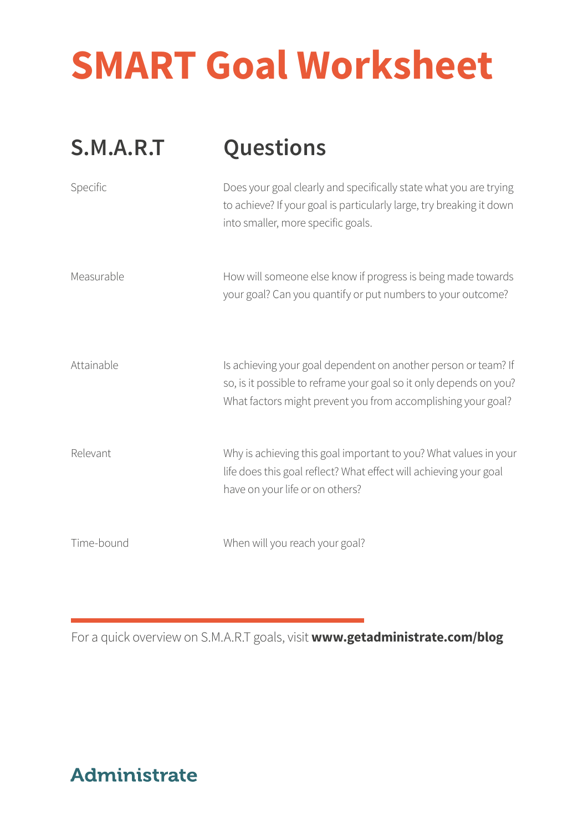# **SMART Goal Worksheet**

| S.M.A.R.T  | Questions                                                                                                                                                                                            |
|------------|------------------------------------------------------------------------------------------------------------------------------------------------------------------------------------------------------|
| Specific   | Does your goal clearly and specifically state what you are trying<br>to achieve? If your goal is particularly large, try breaking it down<br>into smaller, more specific goals.                      |
| Measurable | How will someone else know if progress is being made towards<br>your goal? Can you quantify or put numbers to your outcome?                                                                          |
| Attainable | Is achieving your goal dependent on another person or team? If<br>so, is it possible to reframe your goal so it only depends on you?<br>What factors might prevent you from accomplishing your goal? |
| Relevant   | Why is achieving this goal important to you? What values in your<br>life does this goal reflect? What effect will achieving your goal<br>have on your life or on others?                             |
| Time-bound | When will you reach your goal?                                                                                                                                                                       |

For a quick overview on S.M.A.R.T goals, visit **www.getadministrate.com/blog**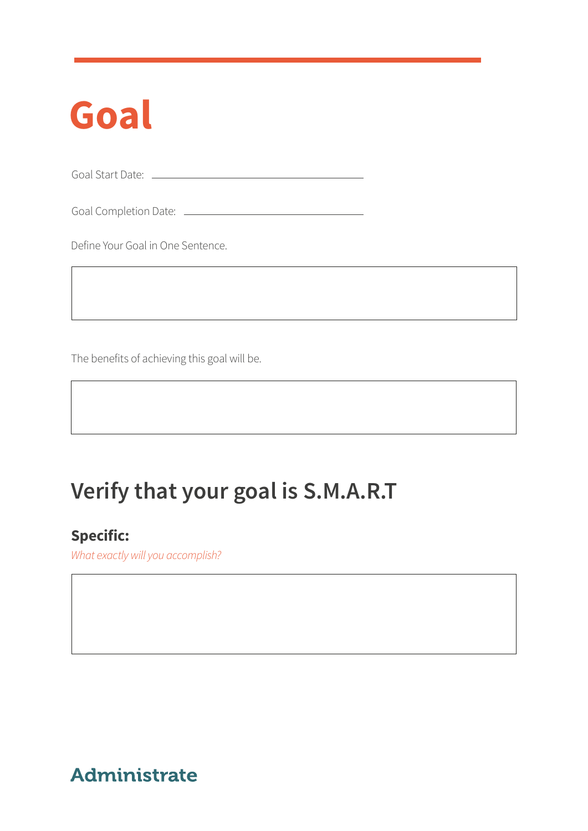# **Goal**

Goal Start Date: <u>\_\_\_\_\_\_\_\_\_\_\_\_\_\_\_\_\_\_\_\_\_\_\_</u>

Goal Completion Date:

Define Your Goal in One Sentence.

The benefits of achieving this goal will be.

# **Verify that your goal is S.M.A.R.T**

### **Specific:**

*What exactly will you accomplish?*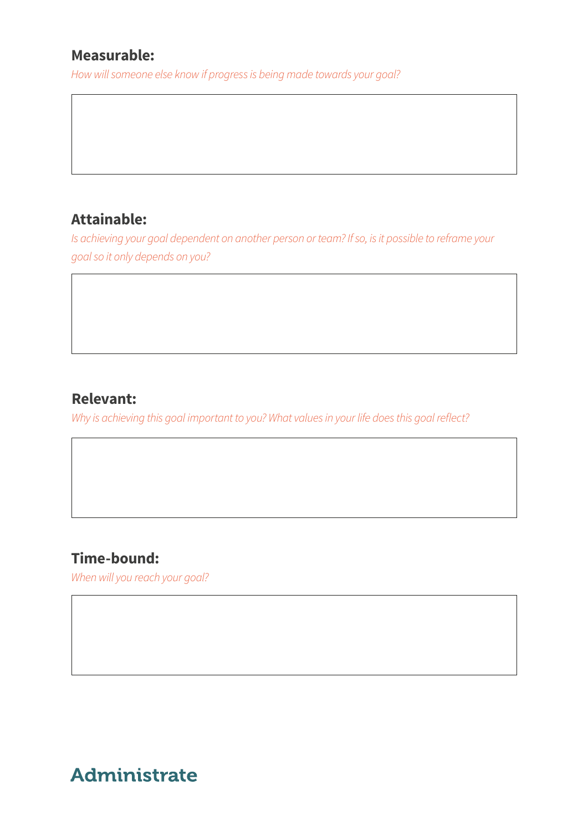### **Measurable:**

*How will someone else know if progress is being made towards your goal?*

### **Attainable:**

*Is achieving your goal dependent on another person or team? If so, is it possible to reframe your goal so it only depends on you?*

### **Relevant:**

*Why is achieving this goal important to you? What values in your life does this goal reflect?*

### **Time-bound:**

*When will you reach your goal?*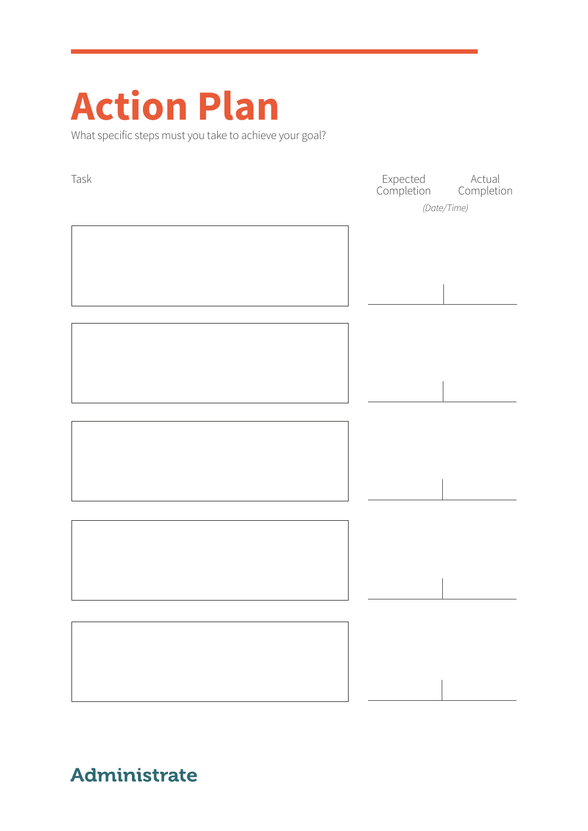# **Action Plan**

What specific steps must you take to achieve your goal?

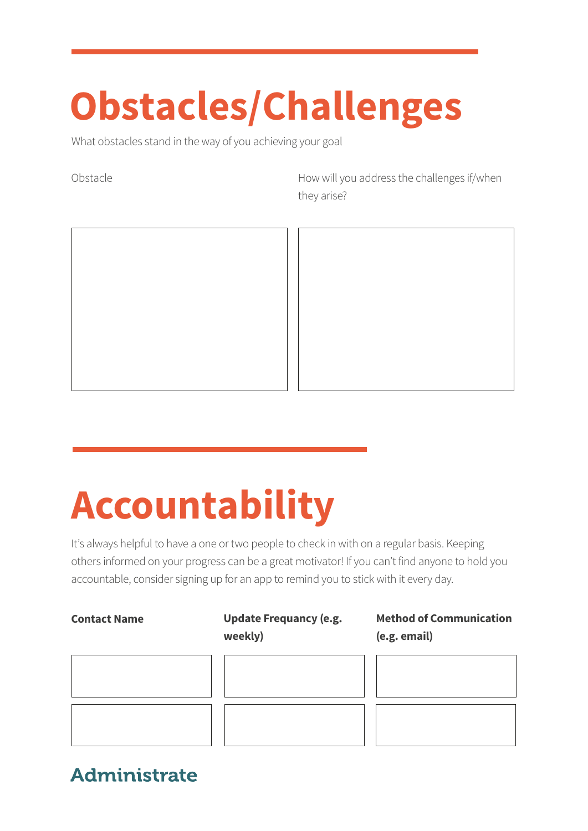# **Obstacles/Challenges**

What obstacles stand in the way of you achieving your goal

Obstacle Mobstacle How will you address the challenges if/when they arise?



# **Accountability**

It's always helpful to have a one or two people to check in with on a regular basis. Keeping others informed on your progress can be a great motivator! If you can't find anyone to hold you accountable, consider signing up for an app to remind you to stick with it every day.

#### **Contact Name Update Frequancy (e.g. weekly)**

**Method of Communication (e.g. email)**